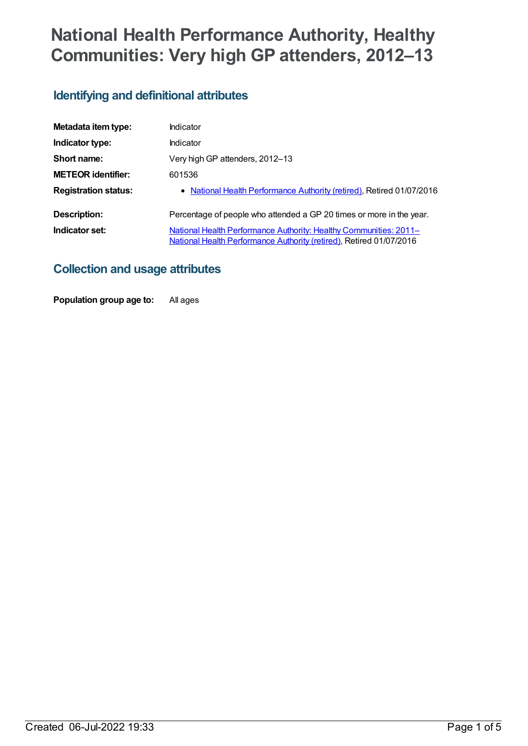# **National Health Performance Authority, Healthy Communities: Very high GP attenders, 2012–13**

# **Identifying and definitional attributes**

| Metadata item type:         | Indicator                                                                                                                                |
|-----------------------------|------------------------------------------------------------------------------------------------------------------------------------------|
| Indicator type:             | Indicator                                                                                                                                |
| Short name:                 | Very high GP attenders, 2012-13                                                                                                          |
| <b>METEOR identifier:</b>   | 601536                                                                                                                                   |
| <b>Registration status:</b> | • National Health Performance Authority (retired), Retired 01/07/2016                                                                    |
| Description:                | Percentage of people who attended a GP 20 times or more in the year.                                                                     |
| Indicator set:              | National Health Performance Authority: Healthy Communities: 2011–<br>National Health Performance Authority (retired), Retired 01/07/2016 |

## **Collection and usage attributes**

**Population group age to:** All ages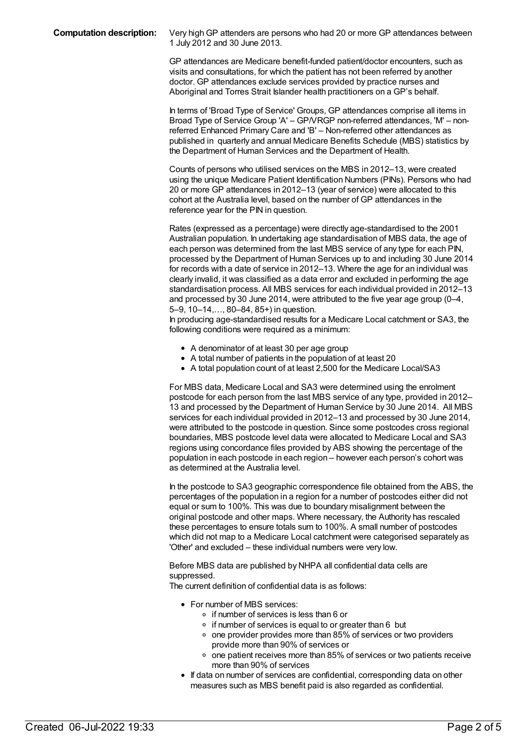**Computation description:** Very highGP attenders are persons who had 20 or more GP attendances between 1 July 2012 and 30 June 2013.

> GP attendances are Medicare benefit-funded patient/doctor encounters, such as visits and consultations, for which the patient has not been referred by another doctor. GP attendances exclude services provided by practice nurses and Aboriginal and Torres Strait Islander health practitioners on a GP's behalf.

In terms of 'Broad Type of Service' Groups, GP attendances comprise all items in Broad Type of Service Group 'A' – GP/VRGP non-referred attendances, 'M' – nonreferred Enhanced Primary Care and 'B' – Non-referred other attendances as published in quarterly and annual Medicare Benefits Schedule (MBS) statistics by the Department of Human Services and the Department of Health.

Counts of persons who utilised services on the MBS in 2012–13, were created using the unique Medicare Patient Identification Numbers (PINs). Persons who had 20 or more GP attendances in 2012–13 (year of service) were allocated to this cohort at the Australia level, based on the number of GP attendances in the reference year for the PIN in question.

Rates (expressed as a percentage) were directly age-standardised to the 2001 Australian population. In undertaking age standardisation of MBS data, the age of each person was determined from the last MBS service of any type for each PIN, processed by the Department of Human Services up to and including 30 June 2014 for records with a date of service in 2012–13. Where the age for an individual was clearly invalid, it was classified as a data error and excluded in performing the age standardisation process. All MBS services for each individual provided in 2012–13 and processed by 30 June 2014, were attributed to the five year age group (0–4, 5–9, 10–14,…, 80–84, 85+) in question.

In producing age-standardised results for a Medicare Local catchment or SA3, the following conditions were required as a minimum:

- A denominator of at least 30 per age group
- A total number of patients in the population of at least 20
- A total population count of at least 2,500 for the Medicare Local/SA3

For MBS data, Medicare Local and SA3 were determined using the enrolment postcode for each person from the last MBS service of any type, provided in 2012– 13 and processed by the Department of Human Service by 30 June 2014. All MBS services for each individual provided in 2012–13 and processed by 30 June 2014, were attributed to the postcode in question. Since some postcodes cross regional boundaries, MBS postcode level data were allocated to Medicare Local and SA3 regions using concordance files provided by ABS showing the percentage of the population in each postcode in each region – however each person's cohort was as determined at the Australia level.

In the postcode to SA3 geographic correspondence file obtained from the ABS, the percentages of the population in a region for a number of postcodes either did not equal or sum to 100%. This was due to boundary misalignment between the original postcode and other maps. Where necessary, the Authority has rescaled these percentages to ensure totals sum to 100%. A small number of postcodes which did not map to a Medicare Local catchment were categorised separately as 'Other' and excluded – these individual numbers were very low.

Before MBS data are published by NHPA all confidential data cells are suppressed.

The current definition of confidential data is as follows:

- For number of MBS services:
	- o if number of services is less than 6 or
	- o if number of services is equal to or greater than 6 but
	- $\circ$  one provider provides more than 85% of services or two providers provide more than 90% of services or
	- $\circ$  one patient receives more than 85% of services or two patients receive more than 90% of services
- If data on number of services are confidential, corresponding data on other measures such as MBS benefit paid is also regarded as confidential.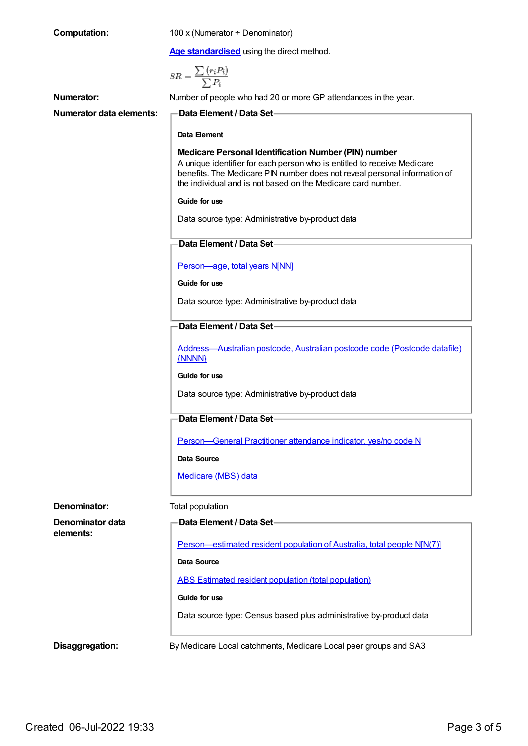| <b>Computation:</b>             | 100 x (Numerator ÷ Denominator)                                                                                                                                                                                                                                                     |
|---------------------------------|-------------------------------------------------------------------------------------------------------------------------------------------------------------------------------------------------------------------------------------------------------------------------------------|
|                                 | Age standardised using the direct method.                                                                                                                                                                                                                                           |
|                                 | $SR = \frac{\sum (r_i P_i)}{\sum P_i}$                                                                                                                                                                                                                                              |
| Numerator:                      | Number of people who had 20 or more GP attendances in the year.                                                                                                                                                                                                                     |
| <b>Numerator data elements:</b> | Data Element / Data Set-                                                                                                                                                                                                                                                            |
|                                 | Data Element                                                                                                                                                                                                                                                                        |
|                                 | <b>Medicare Personal Identification Number (PIN) number</b><br>A unique identifier for each person who is entitled to receive Medicare<br>benefits. The Medicare PIN number does not reveal personal information of<br>the individual and is not based on the Medicare card number. |
|                                 | Guide for use                                                                                                                                                                                                                                                                       |
|                                 | Data source type: Administrative by-product data                                                                                                                                                                                                                                    |
|                                 | Data Element / Data Set                                                                                                                                                                                                                                                             |
|                                 | Person-age, total years N[NN]                                                                                                                                                                                                                                                       |
|                                 | Guide for use                                                                                                                                                                                                                                                                       |
|                                 | Data source type: Administrative by-product data                                                                                                                                                                                                                                    |
|                                 | <b>Data Element / Data Set-</b>                                                                                                                                                                                                                                                     |
|                                 | Address-Australian postcode, Australian postcode code (Postcode datafile)<br>{NNNN}                                                                                                                                                                                                 |
|                                 | Guide for use                                                                                                                                                                                                                                                                       |
|                                 | Data source type: Administrative by-product data                                                                                                                                                                                                                                    |
|                                 | <b>Data Element / Data Set-</b>                                                                                                                                                                                                                                                     |
|                                 | Person-General Practitioner attendance indicator, yes/no code N                                                                                                                                                                                                                     |
|                                 | Data Source                                                                                                                                                                                                                                                                         |
|                                 | Medicare (MBS) data                                                                                                                                                                                                                                                                 |
| Denominator:                    | Total population                                                                                                                                                                                                                                                                    |
| Denominator data<br>elements:   | Data Element / Data Set-                                                                                                                                                                                                                                                            |
|                                 | Person—estimated resident population of Australia, total people N[N(7)]                                                                                                                                                                                                             |
|                                 | <b>Data Source</b>                                                                                                                                                                                                                                                                  |
|                                 | ABS Estimated resident population (total population)                                                                                                                                                                                                                                |
|                                 | Guide for use                                                                                                                                                                                                                                                                       |
|                                 | Data source type: Census based plus administrative by-product data                                                                                                                                                                                                                  |
| Disaggregation:                 | By Medicare Local catchments, Medicare Local peer groups and SA3                                                                                                                                                                                                                    |

Created 06-Jul-2022 19:33 Page 3 of 5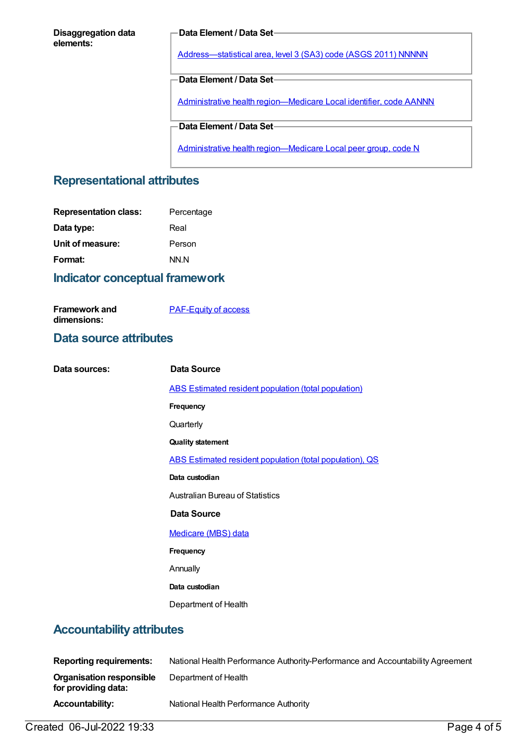#### **Disaggregation data elements:**

#### **Data Element / Data Set**

[Address—statistical](https://meteor.aihw.gov.au/content/457293) area, level 3 (SA3) code (ASGS 2011) NNNNN

**Data Element / Data Set**

Administrative health [region—Medicare](https://meteor.aihw.gov.au/content/513288) Local identifier, code AANNN

**Data Element / Data Set**

Administrative health [region—Medicare](https://meteor.aihw.gov.au/content/550733) Local peer group, code N

#### **Representational attributes**

| Percentage |
|------------|
| Real       |
| Person     |
| NN.N       |
|            |

## **Indicator conceptual framework**

[PAF-Equity](https://meteor.aihw.gov.au/content/554927) of access

#### **Data source attributes**

**Framework and dimensions:**

| Data sources: | Data Source                                              |
|---------------|----------------------------------------------------------|
|               | ABS Estimated resident population (total population)     |
|               | Frequency                                                |
|               | Quarterly                                                |
|               | <b>Quality statement</b>                                 |
|               | ABS Estimated resident population (total population), QS |
|               | Data custodian                                           |
|               | <b>Australian Bureau of Statistics</b>                   |
|               | Data Source                                              |
|               | Medicare (MBS) data                                      |
|               | Frequency                                                |
|               | Annually                                                 |
|               | Data custodian                                           |
|               | Department of Health                                     |
|               |                                                          |

## **Accountability attributes**

| <b>Reporting requirements:</b>                         | National Health Performance Authority-Performance and Accountability Agreement |
|--------------------------------------------------------|--------------------------------------------------------------------------------|
| <b>Organisation responsible</b><br>for providing data: | Department of Health                                                           |
| <b>Accountability:</b>                                 | National Health Performance Authority                                          |